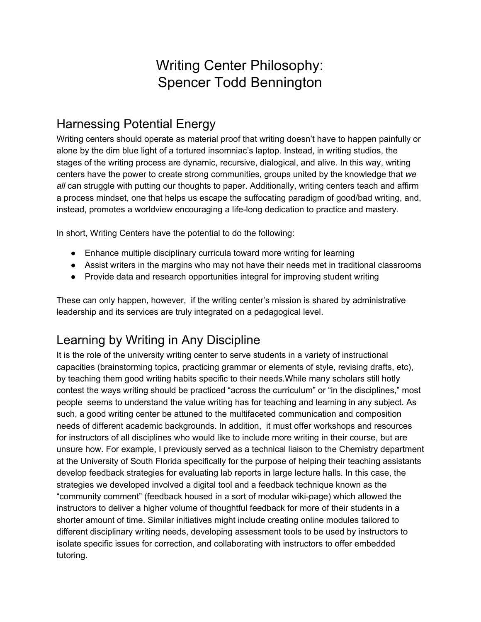# Writing Center Philosophy: Spencer Todd Bennington

# Harnessing Potential Energy

Writing centers should operate as material proof that writing doesn't have to happen painfully or alone by the dim blue light of a tortured insomniac's laptop. Instead, in writing studios, the stages of the writing process are dynamic, recursive, dialogical, and alive. In this way, writing centers have the power to create strong communities, groups united by the knowledge that *we all* can struggle with putting our thoughts to paper. Additionally, writing centers teach and affirm a process mindset, one that helps us escape the suffocating paradigm of good/bad writing, and, instead, promotes a worldview encouraging a life-long dedication to practice and mastery.

In short, Writing Centers have the potential to do the following:

- Enhance multiple disciplinary curricula toward more writing for learning
- Assist writers in the margins who may not have their needs met in traditional classrooms
- Provide data and research opportunities integral for improving student writing

These can only happen, however, if the writing center's mission is shared by administrative leadership and its services are truly integrated on a pedagogical level.

# Learning by Writing in Any Discipline

It is the role of the university writing center to serve students in a variety of instructional capacities (brainstorming topics, practicing grammar or elements of style, revising drafts, etc), by teaching them good writing habits specific to their needs.While many scholars still hotly contest the ways writing should be practiced "across the curriculum" or "in the disciplines," most people seems to understand the value writing has for teaching and learning in any subject. As such, a good writing center be attuned to the multifaceted communication and composition needs of different academic backgrounds. In addition, it must offer workshops and resources for instructors of all disciplines who would like to include more writing in their course, but are unsure how. For example, I previously served as a technical liaison to the Chemistry department at the University of South Florida specifically for the purpose of helping their teaching assistants develop feedback strategies for evaluating lab reports in large lecture halls. In this case, the strategies we developed involved a digital tool and a feedback technique known as the "community comment" (feedback housed in a sort of modular wiki-page) which allowed the instructors to deliver a higher volume of thoughtful feedback for more of their students in a shorter amount of time. Similar initiatives might include creating online modules tailored to different disciplinary writing needs, developing assessment tools to be used by instructors to isolate specific issues for correction, and collaborating with instructors to offer embedded tutoring.